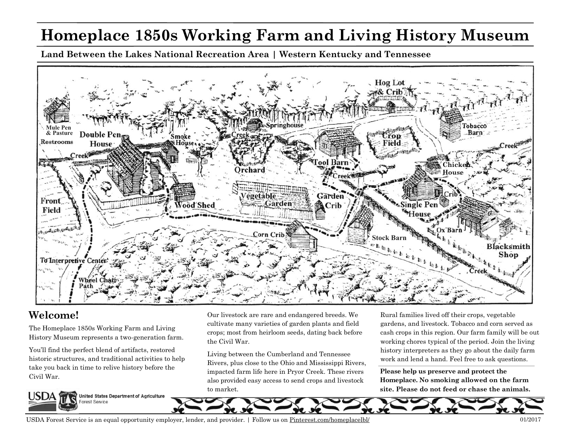## **Homeplace 1850s Working Farm and Living History Museum**

**Land Between the Lakes National Recreation Area | Western Kentucky and Tennessee** 



## **Welcome!**

The Homeplace 1850s Working Farm and Living History Museum represents a two-generation farm.

You'll find the perfect blend of artifacts, restored historic structures, and traditional activities to help take you back in time to relive history before the Civil War.



Our livestock are rare and endangered breeds. We cultivate many varieties of garden plants and field crops; most from heirloom seeds, dating back before the Civil War.

Living between the Cumberland and Tennessee Rivers, plus close to the Ohio and Mississippi Rivers, impacted farm life here in Pryor Creek. These rivers also provided easy access to send crops and livestock to market.

Rural families lived off their crops, vegetable gardens, and livestock. Tobacco and corn served as cash crops in this region. Our farm family will be out working chores typical of the period. Join the living history interpreters as they go about the daily farm work and lend a hand. Feel free to ask questions.

**Please help us preserve and protect the Homeplace. No smoking allowed on the farm site. Please do not feed or chase the animals.** 



USDA Forest Service is an equal opportunity employer, lender, and provider. | Follow us on <u>Pinterest.com/home</u>placelbl/ 01/2017